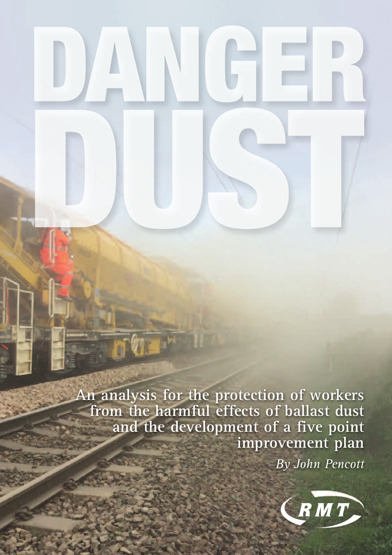**An analysis for the protection of workers from the harmful effects of ballast dust and the development of a five point improvement plan**

*By John Pencott*

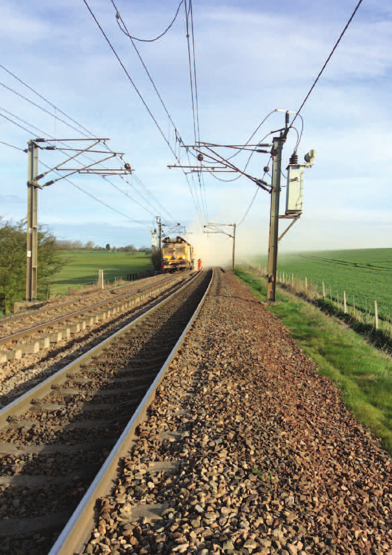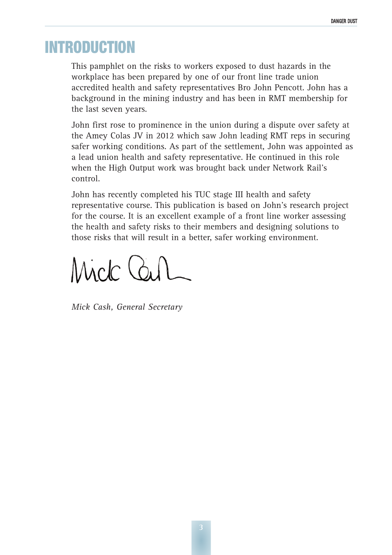## **INTRODUCTION**

This pamphlet on the risks to workers exposed to dust hazards in the workplace has been prepared by one of our front line trade union accredited health and safety representatives Bro John Pencott. John has a background in the mining industry and has been in RMT membership for the last seven years.

John first rose to prominence in the union during a dispute over safety at the Amey Colas JV in 2012 which saw John leading RMT reps in securing safer working conditions. As part of the settlement, John was appointed as a lead union health and safety representative. He continued in this role when the High Output work was brought back under Network Rail's control.

John has recently completed his TUC stage III health and safety representative course. This publication is based on John's research project for the course. It is an excellent example of a front line worker assessing the health and safety risks to their members and designing solutions to those risks that will result in a better, safer working environment.

Mick Carl

*Mick Cash, General Secretary*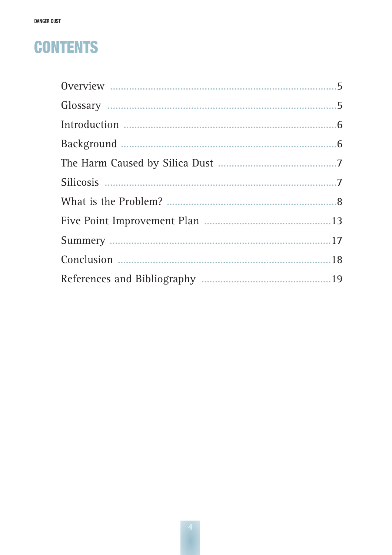# **CONTENTS**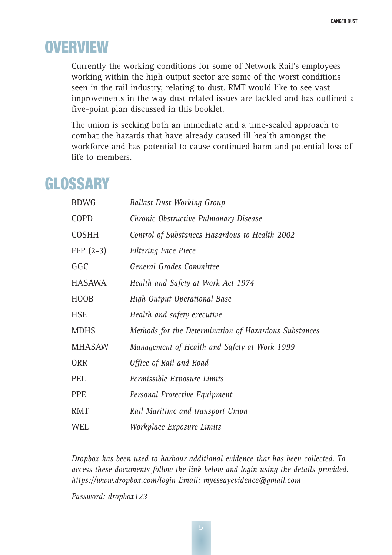## **OVERVIEW**

Currently the working conditions for some of Network Rail's employees working within the high output sector are some of the worst conditions seen in the rail industry, relating to dust. RMT would like to see vast improvements in the way dust related issues are tackled and has outlined a five-point plan discussed in this booklet.

The union is seeking both an immediate and a time-scaled approach to combat the hazards that have already caused ill health amongst the workforce and has potential to cause continued harm and potential loss of life to members.

## **GLOSSARY**

| <b>BDWG</b> | <b>Ballast Dust Working Group</b>                     |
|-------------|-------------------------------------------------------|
| COPD        | Chronic Obstructive Pulmonary Disease                 |
| COSHH       | Control of Substances Hazardous to Health 2002        |
| FFP (2-3)   | <b>Filtering Face Piece</b>                           |
| GGC         | <b>General Grades Committee</b>                       |
| HASAWA      | Health and Safety at Work Act 1974                    |
| HOOB        | <b>High Output Operational Base</b>                   |
| HSE         | Health and safety executive                           |
| MDHS        | Methods for the Determination of Hazardous Substances |
| MHASAW      | Management of Health and Safety at Work 1999          |
| ORR         | Office of Rail and Road                               |
| PEL         | Permissible Exposure Limits                           |
| PPE         | Personal Protective Equipment                         |
| RMT         | Rail Maritime and transport Union                     |
| WEL         | Workplace Exposure Limits                             |

*Dropbox has been used to harbour additional evidence that has been collected. To access these documents follow the link below and login using the details provided. https://www.dropbox.com/login Email: myessayevidence@gmail.com*

*Password: dropbox123*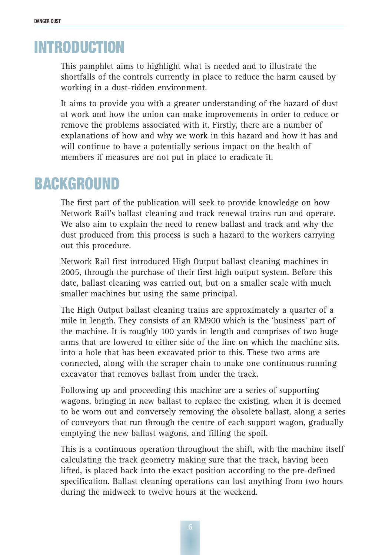## **INTRODUCTION**

This pamphlet aims to highlight what is needed and to illustrate the shortfalls of the controls currently in place to reduce the harm caused by working in a dust-ridden environment.

It aims to provide you with a greater understanding of the hazard of dust at work and how the union can make improvements in order to reduce or remove the problems associated with it. Firstly, there are a number of explanations of how and why we work in this hazard and how it has and will continue to have a potentially serious impact on the health of members if measures are not put in place to eradicate it.

### **BACKGROUND**

The first part of the publication will seek to provide knowledge on how Network Rail's ballast cleaning and track renewal trains run and operate. We also aim to explain the need to renew ballast and track and why the dust produced from this process is such a hazard to the workers carrying out this procedure.

Network Rail first introduced High Output ballast cleaning machines in 2005, through the purchase of their first high output system. Before this date, ballast cleaning was carried out, but on a smaller scale with much smaller machines but using the same principal.

The High Output ballast cleaning trains are approximately a quarter of a mile in length. They consists of an RM900 which is the 'business' part of the machine. It is roughly 100 yards in length and comprises of two huge arms that are lowered to either side of the line on which the machine sits, into a hole that has been excavated prior to this. These two arms are connected, along with the scraper chain to make one continuous running excavator that removes ballast from under the track.

Following up and proceeding this machine are a series of supporting wagons, bringing in new ballast to replace the existing, when it is deemed to be worn out and conversely removing the obsolete ballast, along a series of conveyors that run through the centre of each support wagon, gradually emptying the new ballast wagons, and filling the spoil.

This is a continuous operation throughout the shift, with the machine itself calculating the track geometry making sure that the track, having been lifted, is placed back into the exact position according to the pre-defined specification. Ballast cleaning operations can last anything from two hours during the midweek to twelve hours at the weekend.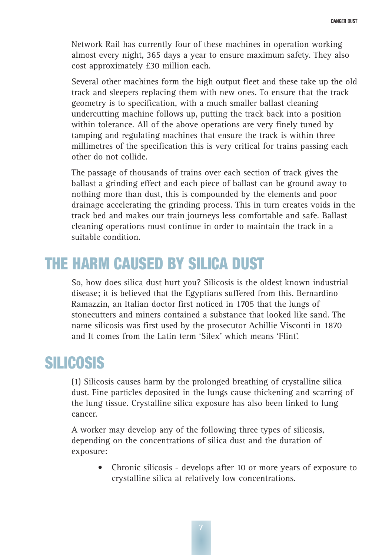Network Rail has currently four of these machines in operation working almost every night, 365 days a year to ensure maximum safety. They also cost approximately £30 million each.

Several other machines form the high output fleet and these take up the old track and sleepers replacing them with new ones. To ensure that the track geometry is to specification, with a much smaller ballast cleaning undercutting machine follows up, putting the track back into a position within tolerance. All of the above operations are very finely tuned by tamping and regulating machines that ensure the track is within three millimetres of the specification this is very critical for trains passing each other do not collide.

The passage of thousands of trains over each section of track gives the ballast a grinding effect and each piece of ballast can be ground away to nothing more than dust, this is compounded by the elements and poor drainage accelerating the grinding process. This in turn creates voids in the track bed and makes our train journeys less comfortable and safe. Ballast cleaning operations must continue in order to maintain the track in a suitable condition.

### **THE HARM CAUSED BY SILICA DUST**

So, how does silica dust hurt you? Silicosis is the oldest known industrial disease; it is believed that the Egyptians suffered from this. Bernardino Ramazzin, an Italian doctor first noticed in 1705 that the lungs of stonecutters and miners contained a substance that looked like sand. The name silicosis was first used by the prosecutor Achillie Visconti in 1870 and It comes from the Latin term 'Silex' which means 'Flint'.

## **SILICOSIS**

(1) Silicosis causes harm by the prolonged breathing of crystalline silica dust. Fine particles deposited in the lungs cause thickening and scarring of the lung tissue. Crystalline silica exposure has also been linked to lung cancer.

A worker may develop any of the following three types of silicosis, depending on the concentrations of silica dust and the duration of exposure:

> • Chronic silicosis - develops after 10 or more years of exposure to crystalline silica at relatively low concentrations.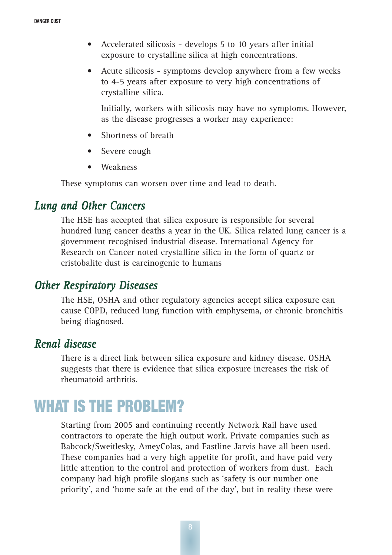- Accelerated silicosis develops 5 to 10 years after initial exposure to crystalline silica at high concentrations.
- Acute silicosis symptoms develop anywhere from a few weeks to 4-5 years after exposure to very high concentrations of crystalline silica.

Initially, workers with silicosis may have no symptoms. However, as the disease progresses a worker may experience:

- Shortness of breath
- Severe cough
- Weakness

These symptoms can worsen over time and lead to death.

#### *Lung and Other Cancers*

The HSE has accepted that silica exposure is responsible for several hundred lung cancer deaths a year in the UK. Silica related lung cancer is a government recognised industrial disease. International Agency for Research on Cancer noted crystalline silica in the form of quartz or cristobalite dust is carcinogenic to humans

#### *Other Respiratory Diseases*

The HSE, OSHA and other regulatory agencies accept silica exposure can cause COPD, reduced lung function with emphysema, or chronic bronchitis being diagnosed.

#### *Renal disease*

There is a direct link between silica exposure and kidney disease. OSHA suggests that there is evidence that silica exposure increases the risk of rheumatoid arthritis.

## **WHAT IS THE PROBLEM?**

Starting from 2005 and continuing recently Network Rail have used contractors to operate the high output work. Private companies such as Babcock/Sweitlesky, AmeyColas, and Fastline Jarvis have all been used. These companies had a very high appetite for profit, and have paid very little attention to the control and protection of workers from dust. Each company had high profile slogans such as 'safety is our number one priority', and 'home safe at the end of the day', but in reality these were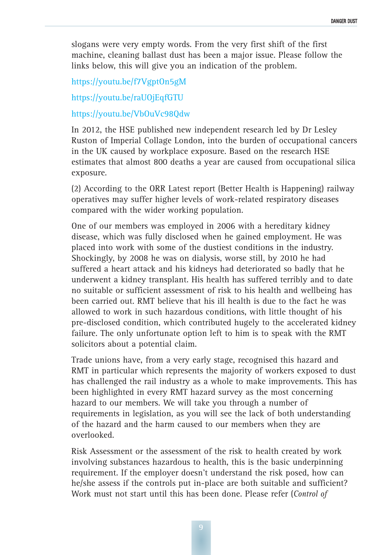slogans were very empty words. From the very first shift of the first machine, cleaning ballast dust has been a major issue. Please follow the links below, this will give you an indication of the problem.

https://youtu.be/f7VgptOn5gM

https://youtu.be/raUOjEqfGTU

https://youtu.be/VbOuVc98Qdw

In 2012, the HSE published new independent research led by Dr Lesley Ruston of Imperial Collage London, into the burden of occupational cancers in the UK caused by workplace exposure. Based on the research HSE estimates that almost 800 deaths a year are caused from occupational silica exposure.

(2) According to the ORR Latest report (Better Health is Happening) railway operatives may suffer higher levels of work-related respiratory diseases compared with the wider working population.

One of our members was employed in 2006 with a hereditary kidney disease, which was fully disclosed when he gained employment. He was placed into work with some of the dustiest conditions in the industry. Shockingly, by 2008 he was on dialysis, worse still, by 2010 he had suffered a heart attack and his kidneys had deteriorated so badly that he underwent a kidney transplant. His health has suffered terribly and to date no suitable or sufficient assessment of risk to his health and wellbeing has been carried out. RMT believe that his ill health is due to the fact he was allowed to work in such hazardous conditions, with little thought of his pre-disclosed condition, which contributed hugely to the accelerated kidney failure. The only unfortunate option left to him is to speak with the RMT solicitors about a potential claim.

Trade unions have, from a very early stage, recognised this hazard and RMT in particular which represents the majority of workers exposed to dust has challenged the rail industry as a whole to make improvements. This has been highlighted in every RMT hazard survey as the most concerning hazard to our members. We will take you through a number of requirements in legislation, as you will see the lack of both understanding of the hazard and the harm caused to our members when they are overlooked.

Risk Assessment or the assessment of the risk to health created by work involving substances hazardous to health, this is the basic underpinning requirement. If the employer doesn't understand the risk posed, how can he/she assess if the controls put in-place are both suitable and sufficient? Work must not start until this has been done. Please refer (*Control of*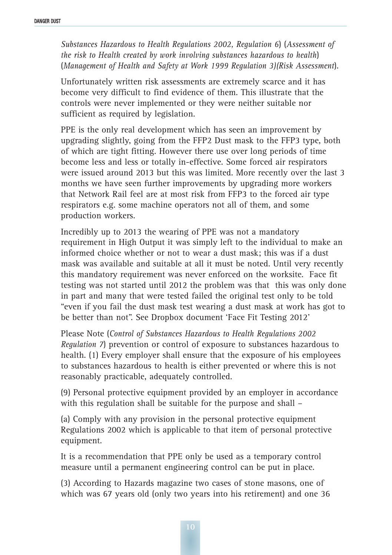*Substances Hazardous to Health Regulations 2002, Regulation 6*) (*Assessment of the risk to Health created by work involving substances hazardous to health*) (*Management of Health and Safety at Work 1999 Regulation 3)(Risk Assessment*).

Unfortunately written risk assessments are extremely scarce and it has become very difficult to find evidence of them. This illustrate that the controls were never implemented or they were neither suitable nor sufficient as required by legislation.

PPE is the only real development which has seen an improvement by upgrading slightly, going from the FFP2 Dust mask to the FFP3 type, both of which are tight fitting. However there use over long periods of time become less and less or totally in-effective. Some forced air respirators were issued around 2013 but this was limited. More recently over the last 3 months we have seen further improvements by upgrading more workers that Network Rail feel are at most risk from FFP3 to the forced air type respirators e.g. some machine operators not all of them, and some production workers.

Incredibly up to 2013 the wearing of PPE was not a mandatory requirement in High Output it was simply left to the individual to make an informed choice whether or not to wear a dust mask; this was if a dust mask was available and suitable at all it must be noted. Until very recently this mandatory requirement was never enforced on the worksite. Face fit testing was not started until 2012 the problem was that this was only done in part and many that were tested failed the original test only to be told "even if you fail the dust mask test wearing a dust mask at work has got to be better than not". See Dropbox document 'Face Fit Testing 2012'

Please Note (*Control of Substances Hazardous to Health Regulations 2002 Regulation 7*) prevention or control of exposure to substances hazardous to health. (1) Every employer shall ensure that the exposure of his employees to substances hazardous to health is either prevented or where this is not reasonably practicable, adequately controlled.

(9) Personal protective equipment provided by an employer in accordance with this regulation shall be suitable for the purpose and shall –

(a) Comply with any provision in the personal protective equipment Regulations 2002 which is applicable to that item of personal protective equipment.

It is a recommendation that PPE only be used as a temporary control measure until a permanent engineering control can be put in place.

(3) According to Hazards magazine two cases of stone masons, one of which was 67 years old (only two years into his retirement) and one 36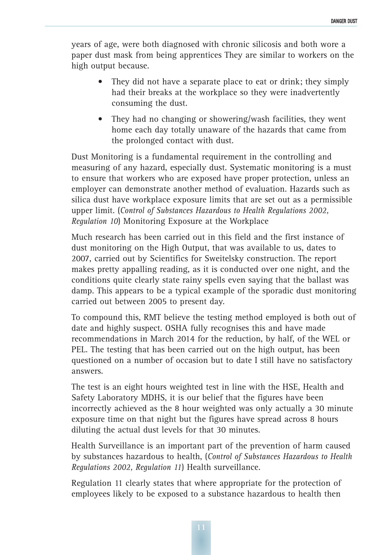years of age, were both diagnosed with chronic silicosis and both wore a paper dust mask from being apprentices They are similar to workers on the high output because.

- They did not have a separate place to eat or drink; they simply had their breaks at the workplace so they were inadvertently consuming the dust.
- They had no changing or showering/wash facilities, they went home each day totally unaware of the hazards that came from the prolonged contact with dust.

Dust Monitoring is a fundamental requirement in the controlling and measuring of any hazard, especially dust. Systematic monitoring is a must to ensure that workers who are exposed have proper protection, unless an employer can demonstrate another method of evaluation. Hazards such as silica dust have workplace exposure limits that are set out as a permissible upper limit. (*Control of Substances Hazardous to Health Regulations 2002, Regulation 10*) Monitoring Exposure at the Workplace

Much research has been carried out in this field and the first instance of dust monitoring on the High Output, that was available to us, dates to 2007, carried out by Scientifics for Sweitelsky construction. The report makes pretty appalling reading, as it is conducted over one night, and the conditions quite clearly state rainy spells even saying that the ballast was damp. This appears to be a typical example of the sporadic dust monitoring carried out between 2005 to present day.

To compound this, RMT believe the testing method employed is both out of date and highly suspect. OSHA fully recognises this and have made recommendations in March 2014 for the reduction, by half, of the WEL or PEL. The testing that has been carried out on the high output, has been questioned on a number of occasion but to date I still have no satisfactory answers.

The test is an eight hours weighted test in line with the HSE, Health and Safety Laboratory MDHS, it is our belief that the figures have been incorrectly achieved as the 8 hour weighted was only actually a 30 minute exposure time on that night but the figures have spread across 8 hours diluting the actual dust levels for that 30 minutes.

Health Surveillance is an important part of the prevention of harm caused by substances hazardous to health, (*Control of Substances Hazardous to Health Regulations 2002, Regulation 11*) Health surveillance.

Regulation 11 clearly states that where appropriate for the protection of employees likely to be exposed to a substance hazardous to health then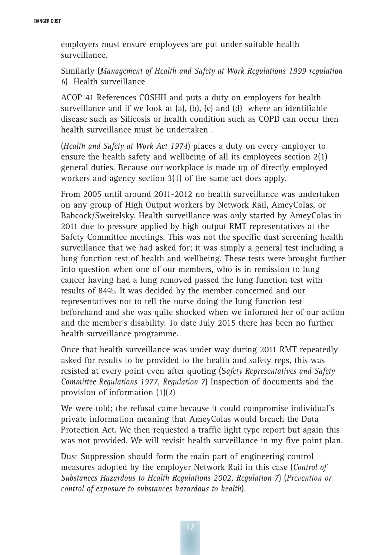employers must ensure employees are put under suitable health surveillance.

Similarly (*Management of Health and Safety at Work Regulations 1999 regulation 6*) Health surveillance

ACOP 41 References COSHH and puts a duty on employers for health surveillance and if we look at (a), (b), (c) and (d) where an identifiable disease such as Silicosis or health condition such as COPD can occur then health surveillance must be undertaken .

(*Health and Safety at Work Act 1974*) places a duty on every employer to ensure the health safety and wellbeing of all its employees section 2(1) general duties. Because our workplace is made up of directly employed workers and agency section 3(1) of the same act does apply.

From 2005 until around 2011-2012 no health surveillance was undertaken on any group of High Output workers by Network Rail, AmeyColas, or Babcock/Sweitelsky. Health surveillance was only started by AmeyColas in 2011 due to pressure applied by high output RMT representatives at the Safety Committee meetings. This was not the specific dust screening health surveillance that we had asked for; it was simply a general test including a lung function test of health and wellbeing. These tests were brought further into question when one of our members, who is in remission to lung cancer having had a lung removed passed the lung function test with results of 84%. It was decided by the member concerned and our representatives not to tell the nurse doing the lung function test beforehand and she was quite shocked when we informed her of our action and the member's disability. To date July 2015 there has been no further health surveillance programme.

Once that health surveillance was under way during 2011 RMT repeatedly asked for results to be provided to the health and safety reps, this was resisted at every point even after quoting (S*afety Representatives and Safety Committee Regulations 1977, Regulation 7*) Inspection of documents and the provision of information (1)(2)

We were told; the refusal came because it could compromise individual's private information meaning that AmeyColas would breach the Data Protection Act. We then requested a traffic light type report but again this was not provided. We will revisit health surveillance in my five point plan.

Dust Suppression should form the main part of engineering control measures adopted by the employer Network Rail in this case (*Control of Substances Hazardous to Health Regulations 2002, Regulation 7*) (*Prevention or control of exposure to substances hazardous to health*).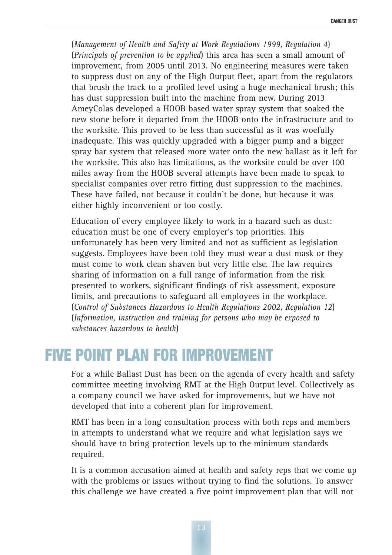(*Management of Health and Safety at Work Regulations 1999, Regulation 4*) (*Principals of prevention to be applied*) this area has seen a small amount of improvement, from 2005 until 2013. No engineering measures were taken to suppress dust on any of the High Output fleet, apart from the regulators that brush the track to a profiled level using a huge mechanical brush; this has dust suppression built into the machine from new. During 2013 AmeyColas developed a HOOB based water spray system that soaked the new stone before it departed from the HOOB onto the infrastructure and to the worksite. This proved to be less than successful as it was woefully inadequate. This was quickly upgraded with a bigger pump and a bigger spray bar system that released more water onto the new ballast as it left for the worksite. This also has limitations, as the worksite could be over 100 miles away from the HOOB several attempts have been made to speak to specialist companies over retro fitting dust suppression to the machines. These have failed, not because it couldn't be done, but because it was either highly inconvenient or too costly.

Education of every employee likely to work in a hazard such as dust: education must be one of every employer's top priorities. This unfortunately has been very limited and not as sufficient as legislation suggests. Employees have been told they must wear a dust mask or they must come to work clean shaven but very little else. The law requires sharing of information on a full range of information from the risk presented to workers, significant findings of risk assessment, exposure limits, and precautions to safeguard all employees in the workplace. (*Control of Substances Hazardous to Health Regulations 2002, Regulation 12*) (*Information, instruction and training for persons who may be exposed to substances hazardous to health*)

### **FIVE POINT PLAN FOR IMPROVEMENT**

For a while Ballast Dust has been on the agenda of every health and safety committee meeting involving RMT at the High Output level. Collectively as a company council we have asked for improvements, but we have not developed that into a coherent plan for improvement.

RMT has been in a long consultation process with both reps and members in attempts to understand what we require and what legislation says we should have to bring protection levels up to the minimum standards required.

It is a common accusation aimed at health and safety reps that we come up with the problems or issues without trying to find the solutions. To answer this challenge we have created a five point improvement plan that will not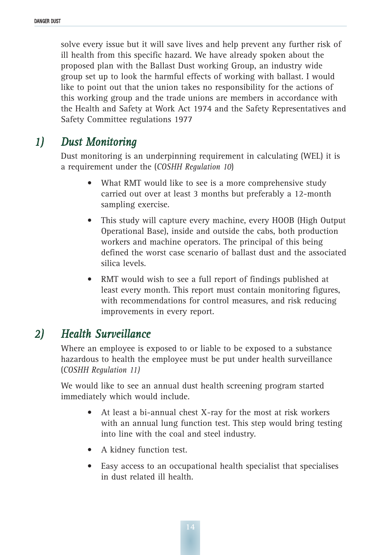solve every issue but it will save lives and help prevent any further risk of ill health from this specific hazard. We have already spoken about the proposed plan with the Ballast Dust working Group, an industry wide group set up to look the harmful effects of working with ballast. I would like to point out that the union takes no responsibility for the actions of this working group and the trade unions are members in accordance with the Health and Safety at Work Act 1974 and the Safety Representatives and Safety Committee regulations 1977

### *1) Dust Monitoring*

Dust monitoring is an underpinning requirement in calculating (WEL) it is a requirement under the (*COSHH Regulation 10*)

- What RMT would like to see is a more comprehensive study carried out over at least 3 months but preferably a 12-month sampling exercise.
- This study will capture every machine, every HOOB (High Output Operational Base), inside and outside the cabs, both production workers and machine operators. The principal of this being defined the worst case scenario of ballast dust and the associated silica levels.
- RMT would wish to see a full report of findings published at least every month. This report must contain monitoring figures, with recommendations for control measures, and risk reducing improvements in every report.

### *2) Health Surveillance*

Where an employee is exposed to or liable to be exposed to a substance hazardous to health the employee must be put under health surveillance (*COSHH Regulation 11)*

We would like to see an annual dust health screening program started immediately which would include.

- At least a bi-annual chest X-ray for the most at risk workers with an annual lung function test. This step would bring testing into line with the coal and steel industry.
- A kidney function test.
- Easy access to an occupational health specialist that specialises in dust related ill health.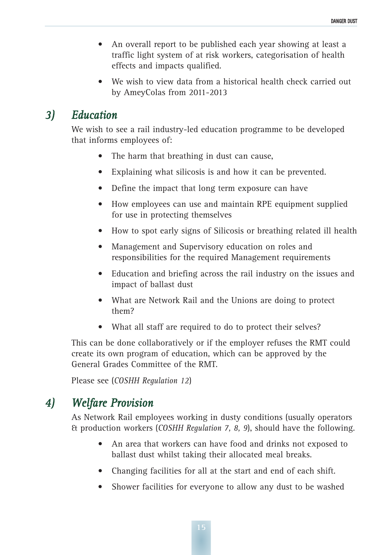- An overall report to be published each year showing at least a traffic light system of at risk workers, categorisation of health effects and impacts qualified.
- We wish to view data from a historical health check carried out by AmeyColas from 2011-2013

### *3) Education*

We wish to see a rail industry-led education programme to be developed that informs employees of:

- The harm that breathing in dust can cause.
- Explaining what silicosis is and how it can be prevented.
- Define the impact that long term exposure can have
- How employees can use and maintain RPE equipment supplied for use in protecting themselves
- How to spot early signs of Silicosis or breathing related ill health
- Management and Supervisory education on roles and responsibilities for the required Management requirements
- Education and briefing across the rail industry on the issues and impact of ballast dust
- What are Network Rail and the Unions are doing to protect them?
- What all staff are required to do to protect their selves?

This can be done collaboratively or if the employer refuses the RMT could create its own program of education, which can be approved by the General Grades Committee of the RMT.

Please see (*COSHH Regulation 12*)

### *4) Welfare Provision*

As Network Rail employees working in dusty conditions (usually operators & production workers (*COSHH Regulation 7, 8, 9*), should have the following.

- An area that workers can have food and drinks not exposed to ballast dust whilst taking their allocated meal breaks.
- Changing facilities for all at the start and end of each shift.
- Shower facilities for everyone to allow any dust to be washed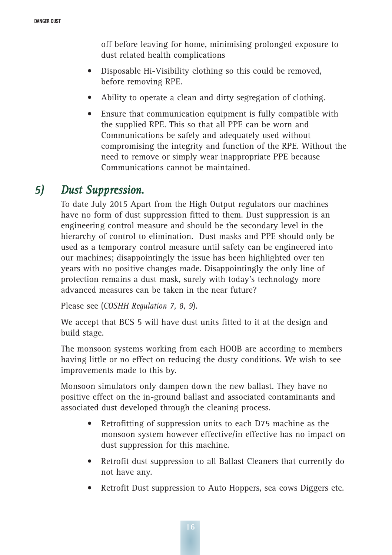off before leaving for home, minimising prolonged exposure to dust related health complications

- Disposable Hi-Visibility clothing so this could be removed, before removing RPE.
- Ability to operate a clean and dirty segregation of clothing.
- Ensure that communication equipment is fully compatible with the supplied RPE. This so that all PPE can be worn and Communications be safely and adequately used without compromising the integrity and function of the RPE. Without the need to remove or simply wear inappropriate PPE because Communications cannot be maintained.

### *5) Dust Suppression.*

To date July 2015 Apart from the High Output regulators our machines have no form of dust suppression fitted to them. Dust suppression is an engineering control measure and should be the secondary level in the hierarchy of control to elimination. Dust masks and PPE should only be used as a temporary control measure until safety can be engineered into our machines; disappointingly the issue has been highlighted over ten years with no positive changes made. Disappointingly the only line of protection remains a dust mask, surely with today's technology more advanced measures can be taken in the near future?

Please see (*COSHH Regulation 7, 8, 9*).

We accept that BCS 5 will have dust units fitted to it at the design and build stage.

The monsoon systems working from each HOOB are according to members having little or no effect on reducing the dusty conditions. We wish to see improvements made to this by.

Monsoon simulators only dampen down the new ballast. They have no positive effect on the in-ground ballast and associated contaminants and associated dust developed through the cleaning process.

- Retrofitting of suppression units to each D75 machine as the monsoon system however effective/in effective has no impact on dust suppression for this machine.
- Retrofit dust suppression to all Ballast Cleaners that currently do not have any.
- Retrofit Dust suppression to Auto Hoppers, sea cows Diggers etc.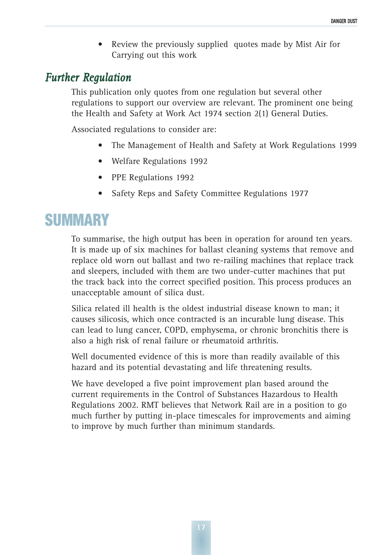Review the previously supplied quotes made by Mist Air for Carrying out this work

#### *Further Regulation*

This publication only quotes from one regulation but several other regulations to support our overview are relevant. The prominent one being the Health and Safety at Work Act 1974 section 2(1) General Duties.

Associated regulations to consider are:

- The Management of Health and Safety at Work Regulations 1999
- Welfare Regulations 1992
- PPE Regulations 1992
- Safety Reps and Safety Committee Regulations 1977

### **SUMMARY**

To summarise, the high output has been in operation for around ten years. It is made up of six machines for ballast cleaning systems that remove and replace old worn out ballast and two re-railing machines that replace track and sleepers, included with them are two under-cutter machines that put the track back into the correct specified position. This process produces an unacceptable amount of silica dust.

Silica related ill health is the oldest industrial disease known to man; it causes silicosis, which once contracted is an incurable lung disease. This can lead to lung cancer, COPD, emphysema, or chronic bronchitis there is also a high risk of renal failure or rheumatoid arthritis.

Well documented evidence of this is more than readily available of this hazard and its potential devastating and life threatening results.

We have developed a five point improvement plan based around the current requirements in the Control of Substances Hazardous to Health Regulations 2002. RMT believes that Network Rail are in a position to go much further by putting in-place timescales for improvements and aiming to improve by much further than minimum standards.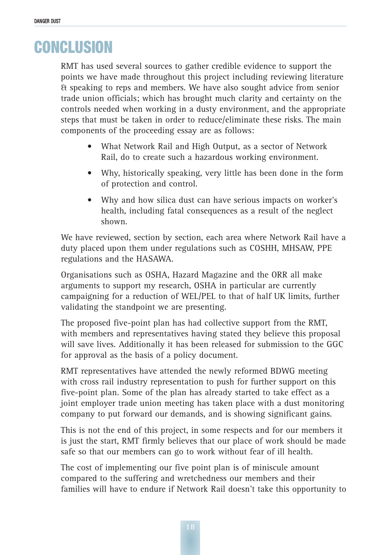## **CONCLUSION**

RMT has used several sources to gather credible evidence to support the points we have made throughout this project including reviewing literature & speaking to reps and members. We have also sought advice from senior trade union officials; which has brought much clarity and certainty on the controls needed when working in a dusty environment, and the appropriate steps that must be taken in order to reduce/eliminate these risks. The main components of the proceeding essay are as follows:

- What Network Rail and High Output, as a sector of Network Rail, do to create such a hazardous working environment.
- Why, historically speaking, very little has been done in the form of protection and control.
- Why and how silica dust can have serious impacts on worker's health, including fatal consequences as a result of the neglect shown.

We have reviewed, section by section, each area where Network Rail have a duty placed upon them under regulations such as COSHH, MHSAW, PPE regulations and the HASAWA.

Organisations such as OSHA, Hazard Magazine and the ORR all make arguments to support my research, OSHA in particular are currently campaigning for a reduction of WEL/PEL to that of half UK limits, further validating the standpoint we are presenting.

The proposed five-point plan has had collective support from the RMT, with members and representatives having stated they believe this proposal will save lives. Additionally it has been released for submission to the GGC for approval as the basis of a policy document.

RMT representatives have attended the newly reformed BDWG meeting with cross rail industry representation to push for further support on this five-point plan. Some of the plan has already started to take effect as a joint employer trade union meeting has taken place with a dust monitoring company to put forward our demands, and is showing significant gains.

This is not the end of this project, in some respects and for our members it is just the start, RMT firmly believes that our place of work should be made safe so that our members can go to work without fear of ill health.

The cost of implementing our five point plan is of miniscule amount compared to the suffering and wretchedness our members and their families will have to endure if Network Rail doesn't take this opportunity to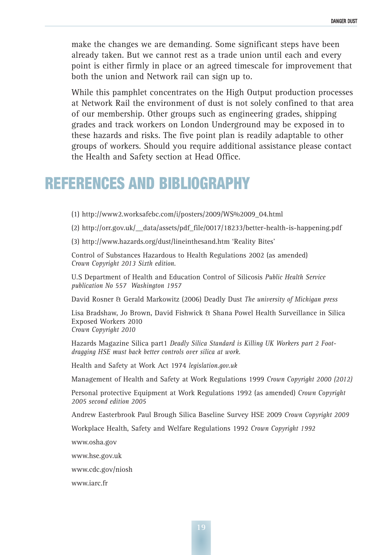make the changes we are demanding. Some significant steps have been already taken. But we cannot rest as a trade union until each and every point is either firmly in place or an agreed timescale for improvement that both the union and Network rail can sign up to.

While this pamphlet concentrates on the High Output production processes at Network Rail the environment of dust is not solely confined to that area of our membership. Other groups such as engineering grades, shipping grades and track workers on London Underground may be exposed in to these hazards and risks. The five point plan is readily adaptable to other groups of workers. Should you require additional assistance please contact the Health and Safety section at Head Office.

### **REFERENCES AND BIBLIOGRAPHY**

- (1) http://www2.worksafebc.com/i/posters/2009/WS%2009\_04.html
- (2) http://orr.gov.uk/\_\_data/assets/pdf\_file/0017/18233/better-health-is-happening.pdf
- (3) http://www.hazards.org/dust/lineinthesand.htm 'Reality Bites'

Control of Substances Hazardous to Health Regulations 2002 (as amended) *Crown Copyright 2013 Sixth edition.*

U.S Department of Health and Education Control of Silicosis *Public Health Service publication No 557 Washington 1957*

David Rosner & Gerald Markowitz (2006) Deadly Dust *The university of Michigan press*

Lisa Bradshaw, Jo Brown, David Fishwick & Shana Powel Health Surveillance in Silica Exposed Workers 2010 *Crown Copyright 2010*

Hazards Magazine Silica part1 *Deadly Silica Standard is Killing UK Workers part 2 Footdragging HSE must back better controls over silica at work.*

Health and Safety at Work Act 1974 *legislation.gov.uk*

Management of Health and Safety at Work Regulations 1999 *Crown Copyright 2000 (2012)*

Personal protective Equipment at Work Regulations 1992 (as amended) *Crown Copyright 2005 second edition 2005*

Andrew Easterbrook Paul Brough Silica Baseline Survey HSE 2009 *Crown Copyright 2009*

Workplace Health, Safety and Welfare Regulations 1992 *Crown Copyright 1992*

www.osha.gov

www.hse.gov.uk

www.cdc.gov/niosh

www.iarc.fr